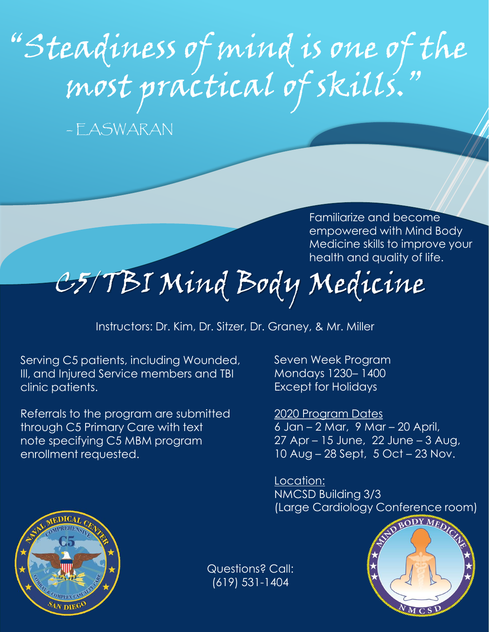# "Steadiness of mind is one of the most practical of skills."

– EASWARAN

Familiarize and become empowered with Mind Body Medicine skills to improve your health and quality of life.

## C5/TBI Mind Body Medicine

Instructors: Dr. Kim, Dr. Sitzer, Dr. Graney, & Mr. Miller

Serving C5 patients, including Wounded, Ill, and Injured Service members and TBI clinic patients.

Referrals to the program are submitted through C5 Primary Care with text note specifying C5 MBM program enrollment requested.

Seven Week Program Mondays 1230– 1400 Except for Holidays

2020 Program Dates 6 Jan – 2 Mar, 9 Mar – 20 April, 27 Apr – 15 June, 22 June – 3 Aug, 10 Aug – 28 Sept, 5 Oct – 23 Nov.

Location: NMCSD Building 3/3 (Large Cardiology Conference room)





Questions? Call: (619) 531-1404